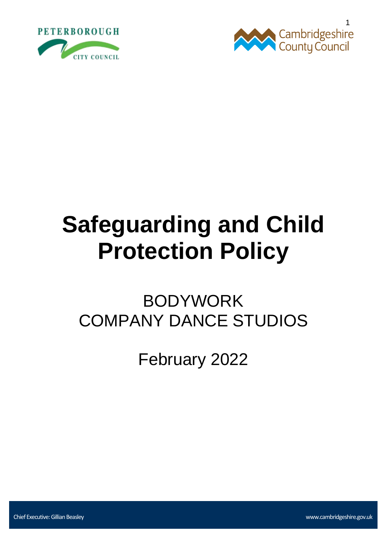



# **Safeguarding and Child Protection Policy**

# BODYWORK COMPANY DANCE STUDIOS

February 2022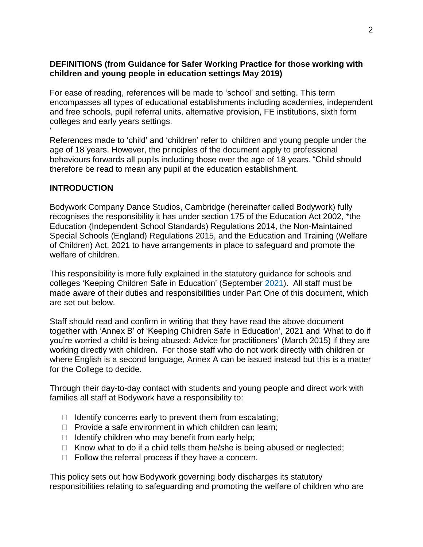# **DEFINITIONS (from Guidance for Safer Working Practice for those working with children and young people in education settings May 2019)**

For ease of reading, references will be made to 'school' and setting. This term encompasses all types of educational establishments including academies, independent and free schools, pupil referral units, alternative provision, FE institutions, sixth form colleges and early years settings.

References made to 'child' and 'children' refer to children and young people under the age of 18 years. However, the principles of the document apply to professional behaviours forwards all pupils including those over the age of 18 years. "Child should therefore be read to mean any pupil at the education establishment.

#### **INTRODUCTION**

'

Bodywork Company Dance Studios, Cambridge (hereinafter called Bodywork) fully recognises the responsibility it has under section 175 of the Education Act 2002, \*the Education (Independent School Standards) Regulations 2014, the Non-Maintained Special Schools (England) Regulations 2015, and the Education and Training (Welfare of Children) Act, 2021 to have arrangements in place to safeguard and promote the welfare of children.

This responsibility is more fully explained in the statutory guidance for schools and colleges 'Keeping Children Safe in Education' (September 2021). All staff must be made aware of their duties and responsibilities under Part One of this document, which are set out below.

Staff should read and confirm in writing that they have read the above document together with 'Annex B' of 'Keeping Children Safe in Education', 2021 and 'What to do if you're worried a child is being abused: Advice for practitioners' (March 2015) if they are working directly with children. For those staff who do not work directly with children or where English is a second language, Annex A can be issued instead but this is a matter for the College to decide.

Through their day-to-day contact with students and young people and direct work with families all staff at Bodywork have a responsibility to:

- $\Box$  Identify concerns early to prevent them from escalating;
- $\Box$  Provide a safe environment in which children can learn;
- $\Box$  Identify children who may benefit from early help;
- $\Box$  Know what to do if a child tells them he/she is being abused or neglected;
- $\Box$  Follow the referral process if they have a concern.

This policy sets out how Bodywork governing body discharges its statutory responsibilities relating to safeguarding and promoting the welfare of children who are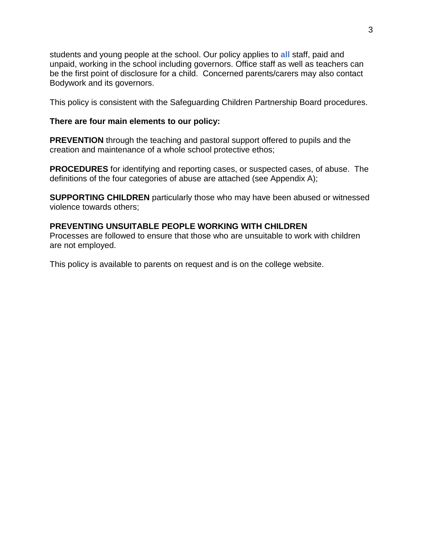students and young people at the school. Our policy applies to **all** staff, paid and unpaid, working in the school including governors. Office staff as well as teachers can be the first point of disclosure for a child. Concerned parents/carers may also contact Bodywork and its governors.

This policy is consistent with the Safeguarding Children Partnership Board procedures.

#### **There are four main elements to our policy:**

**PREVENTION** through the teaching and pastoral support offered to pupils and the creation and maintenance of a whole school protective ethos;

**PROCEDURES** for identifying and reporting cases, or suspected cases, of abuse. The definitions of the four categories of abuse are attached (see Appendix A);

**SUPPORTING CHILDREN** particularly those who may have been abused or witnessed violence towards others;

#### **PREVENTING UNSUITABLE PEOPLE WORKING WITH CHILDREN**

Processes are followed to ensure that those who are unsuitable to work with children are not employed.

This policy is available to parents on request and is on the college website.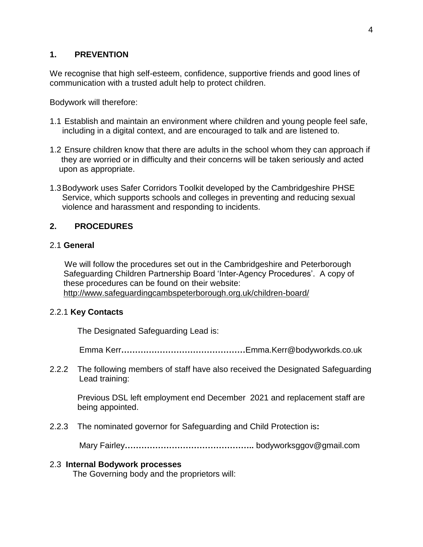# **1. PREVENTION**

We recognise that high self-esteem, confidence, supportive friends and good lines of communication with a trusted adult help to protect children.

Bodywork will therefore:

- 1.1 Establish and maintain an environment where children and young people feel safe, including in a digital context, and are encouraged to talk and are listened to.
- 1.2 Ensure children know that there are adults in the school whom they can approach if they are worried or in difficulty and their concerns will be taken seriously and acted upon as appropriate.
- 1.3Bodywork uses Safer Corridors Toolkit developed by the Cambridgeshire PHSE Service, which supports schools and colleges in preventing and reducing sexual violence and harassment and responding to incidents.

# **2. PROCEDURES**

#### 2.1 **General**

We will follow the procedures set out in the Cambridgeshire and Peterborough Safeguarding Children Partnership Board 'Inter-Agency Procedures'. A copy of these procedures can be found on their website: <http://www.safeguardingcambspeterborough.org.uk/children-board/>

#### 2.2.1 **Key Contacts**

The Designated Safeguarding Lead is:

Emma Kerr**………………………………………**Emma.Kerr@bodyworkds.co.uk

2.2.2The following members of staff have also received the Designated Safeguarding Lead training:

Previous DSL left employment end December 2021 and replacement staff are being appointed.

2.2.3The nominated governor for Safeguarding and Child Protection is**:**

Mary Fairley**………………………………………..** bodyworksggov@gmail.com

#### 2.3 **Internal Bodywork processes**

The Governing body and the proprietors will: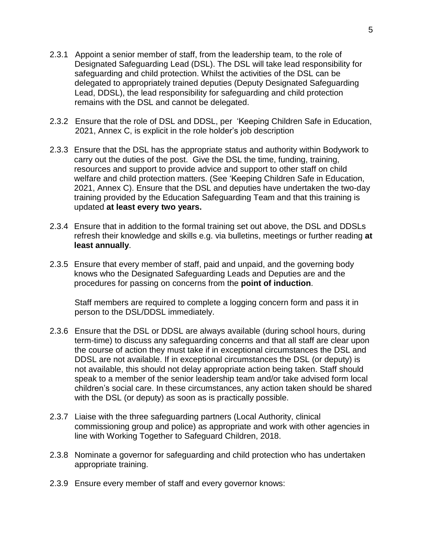- 2.3.1 Appoint a senior member of staff, from the leadership team, to the role of Designated Safeguarding Lead (DSL). The DSL will take lead responsibility for safeguarding and child protection. Whilst the activities of the DSL can be delegated to appropriately trained deputies (Deputy Designated Safeguarding Lead, DDSL), the lead responsibility for safeguarding and child protection remains with the DSL and cannot be delegated.
- 2.3.2 Ensure that the role of DSL and DDSL, per 'Keeping Children Safe in Education, 2021, Annex C, is explicit in the role holder's job description
- 2.3.3 Ensure that the DSL has the appropriate status and authority within Bodywork to carry out the duties of the post. Give the DSL the time, funding, training, resources and support to provide advice and support to other staff on child welfare and child protection matters. (See 'Keeping Children Safe in Education, 2021, Annex C). Ensure that the DSL and deputies have undertaken the two-day training provided by the Education Safeguarding Team and that this training is updated **at least every two years.**
- 2.3.4 Ensure that in addition to the formal training set out above, the DSL and DDSLs refresh their knowledge and skills e.g. via bulletins, meetings or further reading **at least annually**.
- 2.3.5 Ensure that every member of staff, paid and unpaid, and the governing body knows who the Designated Safeguarding Leads and Deputies are and the procedures for passing on concerns from the **point of induction**.

Staff members are required to complete a logging concern form and pass it in person to the DSL/DDSL immediately.

- 2.3.6 Ensure that the DSL or DDSL are always available (during school hours, during term-time) to discuss any safeguarding concerns and that all staff are clear upon the course of action they must take if in exceptional circumstances the DSL and DDSL are not available. If in exceptional circumstances the DSL (or deputy) is not available, this should not delay appropriate action being taken. Staff should speak to a member of the senior leadership team and/or take advised form local children's social care. In these circumstances, any action taken should be shared with the DSL (or deputy) as soon as is practically possible.
- 2.3.7 Liaise with the three safeguarding partners (Local Authority, clinical commissioning group and police) as appropriate and work with other agencies in line with Working Together to Safeguard Children, 2018.
- 2.3.8 Nominate a governor for safeguarding and child protection who has undertaken appropriate training.
- 2.3.9 Ensure every member of staff and every governor knows: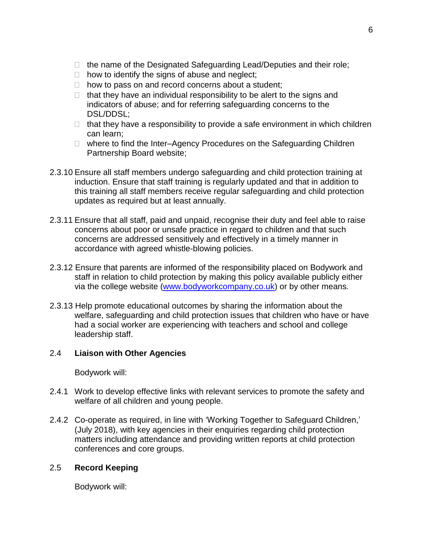- $\Box$  the name of the Designated Safeguarding Lead/Deputies and their role;
- $\Box$  how to identify the signs of abuse and neglect;
- $\Box$  how to pass on and record concerns about a student;
- $\Box$  that they have an individual responsibility to be alert to the signs and indicators of abuse; and for referring safeguarding concerns to the DSL/DDSL;
- $\Box$  that they have a responsibility to provide a safe environment in which children can learn;
- $\Box$  where to find the Inter–Agency Procedures on the Safeguarding Children Partnership Board website;
- 2.3.10 Ensure all staff members undergo safeguarding and child protection training at induction. Ensure that staff training is regularly updated and that in addition to this training all staff members receive regular safeguarding and child protection updates as required but at least annually.
- 2.3.11 Ensure that all staff, paid and unpaid, recognise their duty and feel able to raise concerns about poor or unsafe practice in regard to children and that such concerns are addressed sensitively and effectively in a timely manner in accordance with agreed whistle-blowing policies.
- 2.3.12 Ensure that parents are informed of the responsibility placed on Bodywork and staff in relation to child protection by making this policy available publicly either via the college website [\(www.bodyworkcompany.co.uk\)](http://www.bodyworkdcompany.co.uk/) or by other means*.*
- 2.3.13 Help promote educational outcomes by sharing the information about the welfare, safeguarding and child protection issues that children who have or have had a social worker are experiencing with teachers and school and college leadership staff.

# 2.4 **Liaison with Other Agencies**

Bodywork will:

- 2.4.1 Work to develop effective links with relevant services to promote the safety and welfare of all children and young people.
- 2.4.2 Co-operate as required, in line with 'Working Together to Safeguard Children,' (July 2018), with key agencies in their enquiries regarding child protection matters including attendance and providing written reports at child protection conferences and core groups.

#### 2.5 **Record Keeping**

Bodywork will: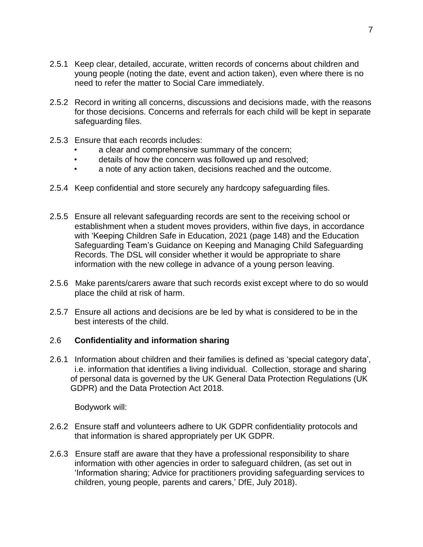- 2.5.1 Keep clear, detailed, accurate, written records of concerns about children and young people (noting the date, event and action taken), even where there is no need to refer the matter to Social Care immediately.
- 2.5.2 Record in writing all concerns, discussions and decisions made, with the reasons for those decisions. Concerns and referrals for each child will be kept in separate safeguarding files.
- 2.5.3 Ensure that each records includes:
	- a clear and comprehensive summary of the concern;
	- details of how the concern was followed up and resolved;
	- a note of any action taken, decisions reached and the outcome.
- 2.5.4 Keep confidential and store securely any hardcopy safeguarding files.
- 2.5.5 Ensure all relevant safeguarding records are sent to the receiving school or establishment when a student moves providers, within five days, in accordance with 'Keeping Children Safe in Education, 2021 (page 148) and the Education Safeguarding Team's Guidance on Keeping and Managing Child Safeguarding Records. The DSL will consider whether it would be appropriate to share information with the new college in advance of a young person leaving.
- 2.5.6 Make parents/carers aware that such records exist except where to do so would place the child at risk of harm.
- 2.5.7 Ensure all actions and decisions are be led by what is considered to be in the best interests of the child.

#### 2.6 **Confidentiality and information sharing**

2.6.1 Information about children and their families is defined as 'special category data', i.e. information that identifies a living individual. Collection, storage and sharing of personal data is governed by the UK General Data Protection Regulations (UK GDPR) and the Data Protection Act 2018.

Bodywork will:

- 2.6.2 Ensure staff and volunteers adhere to UK GDPR confidentiality protocols and that information is shared appropriately per UK GDPR.
- 2.6.3 Ensure staff are aware that they have a professional responsibility to share information with other agencies in order to safeguard children, (as set out in 'Information sharing; Advice for practitioners providing safeguarding services to children, young people, parents and carers,' DfE, July 2018).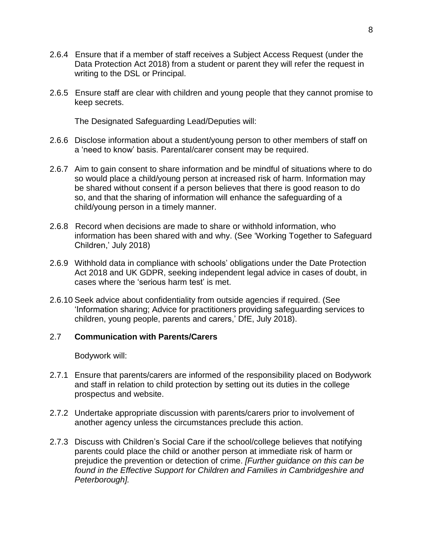- 2.6.4 Ensure that if a member of staff receives a Subject Access Request (under the Data Protection Act 2018) from a student or parent they will refer the request in writing to the DSL or Principal.
- 2.6.5 Ensure staff are clear with children and young people that they cannot promise to keep secrets.

The Designated Safeguarding Lead/Deputies will:

- 2.6.6 Disclose information about a student/young person to other members of staff on a 'need to know' basis. Parental/carer consent may be required.
- 2.6.7 Aim to gain consent to share information and be mindful of situations where to do so would place a child/young person at increased risk of harm. Information may be shared without consent if a person believes that there is good reason to do so, and that the sharing of information will enhance the safeguarding of a child/young person in a timely manner.
- 2.6.8 Record when decisions are made to share or withhold information, who information has been shared with and why. (See 'Working Together to Safeguard Children,' July 2018)
- 2.6.9 Withhold data in compliance with schools' obligations under the Date Protection Act 2018 and UK GDPR, seeking independent legal advice in cases of doubt, in cases where the 'serious harm test' is met.
- 2.6.10 Seek advice about confidentiality from outside agencies if required. (See 'Information sharing; Advice for practitioners providing safeguarding services to children, young people, parents and carers,' DfE, July 2018).

#### 2.7 **Communication with Parents/Carers**

Bodywork will:

- 2.7.1 Ensure that parents/carers are informed of the responsibility placed on Bodywork and staff in relation to child protection by setting out its duties in the college prospectus and website.
- 2.7.2 Undertake appropriate discussion with parents/carers prior to involvement of another agency unless the circumstances preclude this action.
- 2.7.3 Discuss with Children's Social Care if the school/college believes that notifying parents could place the child or another person at immediate risk of harm or prejudice the prevention or detection of crime. *[Further guidance on this can be found in the Effective Support for Children and Families in Cambridgeshire and Peterborough].*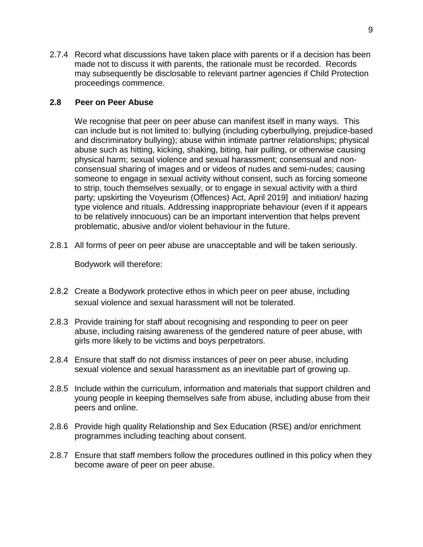2.7.4 Record what discussions have taken place with parents or if a decision has been made not to discuss it with parents, the rationale must be recorded. Records may subsequently be disclosable to relevant partner agencies if Child Protection proceedings commence.

#### **2.8 Peer on Peer Abuse**

We recognise that peer on peer abuse can manifest itself in many ways. This can include but is not limited to: bullying (including cyberbullying, prejudice-based and discriminatory bullying); abuse within intimate partner relationships; physical abuse such as hitting, kicking, shaking, biting, hair pulling, or otherwise causing physical harm; sexual violence and sexual harassment; consensual and nonconsensual sharing of images and or videos of nudes and semi-nudes; causing someone to engage in sexual activity without consent, such as forcing someone to strip, touch themselves sexually, or to engage in sexual activity with a third party; upskirting the Voyeurism (Offences) Act, April 2019] and initiation/ hazing type violence and rituals. Addressing inappropriate behaviour (even if it appears to be relatively innocuous) can be an important intervention that helps prevent problematic, abusive and/or violent behaviour in the future.

2.8.1 All forms of peer on peer abuse are unacceptable and will be taken seriously.

Bodywork will therefore:

- 2.8.2 Create a Bodywork protective ethos in which peer on peer abuse, including sexual violence and sexual harassment will not be tolerated.
- 2.8.3 Provide training for staff about recognising and responding to peer on peer abuse, including raising awareness of the gendered nature of peer abuse, with girls more likely to be victims and boys perpetrators.
- 2.8.4 Ensure that staff do not dismiss instances of peer on peer abuse, including sexual violence and sexual harassment as an inevitable part of growing up.
- 2.8.5 Include within the curriculum, information and materials that support children and young people in keeping themselves safe from abuse, including abuse from their peers and online.
- 2.8.6 Provide high quality Relationship and Sex Education (RSE) and/or enrichment programmes including teaching about consent.
- 2.8.7 Ensure that staff members follow the procedures outlined in this policy when they become aware of peer on peer abuse.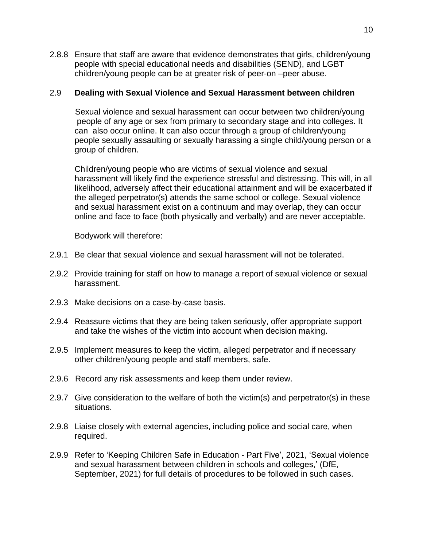2.8.8 Ensure that staff are aware that evidence demonstrates that girls, children/young people with special educational needs and disabilities (SEND), and LGBT children/young people can be at greater risk of peer-on –peer abuse.

#### 2.9 **Dealing with Sexual Violence and Sexual Harassment between children**

 Sexual violence and sexual harassment can occur between two children/young people of any age or sex from primary to secondary stage and into colleges. It can also occur online. It can also occur through a group of children/young people sexually assaulting or sexually harassing a single child/young person or a group of children.

Children/young people who are victims of sexual violence and sexual harassment will likely find the experience stressful and distressing. This will, in all likelihood, adversely affect their educational attainment and will be exacerbated if the alleged perpetrator(s) attends the same school or college. Sexual violence and sexual harassment exist on a continuum and may overlap, they can occur online and face to face (both physically and verbally) and are never acceptable.

Bodywork will therefore:

- 2.9.1 Be clear that sexual violence and sexual harassment will not be tolerated.
- 2.9.2 Provide training for staff on how to manage a report of sexual violence or sexual harassment.
- 2.9.3 Make decisions on a case-by-case basis.
- 2.9.4 Reassure victims that they are being taken seriously, offer appropriate support and take the wishes of the victim into account when decision making.
- 2.9.5 Implement measures to keep the victim, alleged perpetrator and if necessary other children/young people and staff members, safe.
- 2.9.6 Record any risk assessments and keep them under review.
- 2.9.7 Give consideration to the welfare of both the victim(s) and perpetrator(s) in these situations.
- 2.9.8 Liaise closely with external agencies, including police and social care, when required.
- 2.9.9 Refer to 'Keeping Children Safe in Education Part Five', 2021, 'Sexual violence and sexual harassment between children in schools and colleges,' (DfE, September, 2021) for full details of procedures to be followed in such cases.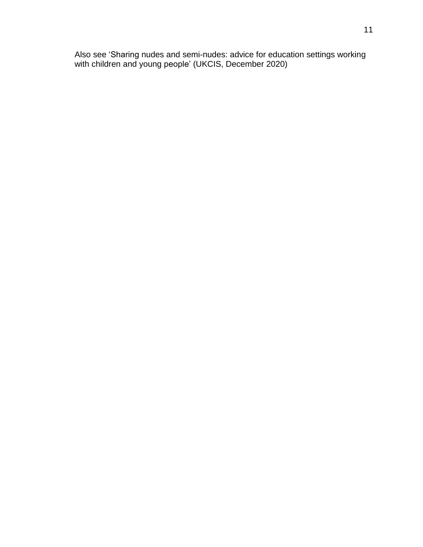Also see 'Sharing nudes and semi-nudes: advice for education settings working with children and young people' (UKCIS, December 2020)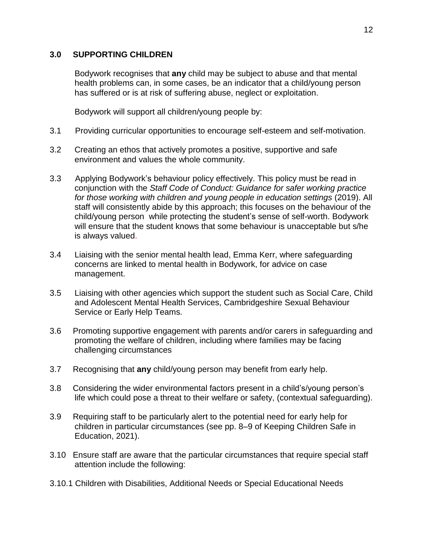# **3.0 SUPPORTING CHILDREN**

Bodywork recognises that **any** child may be subject to abuse and that mental health problems can, in some cases, be an indicator that a child/young person has suffered or is at risk of suffering abuse, neglect or exploitation.

Bodywork will support all children/young people by:

- 3.1 Providing curricular opportunities to encourage self-esteem and self-motivation.
- 3.2 Creating an ethos that actively promotes a positive, supportive and safe environment and values the whole community.
- 3.3 Applying Bodywork's behaviour policy effectively. This policy must be read in conjunction with the *Staff Code of Conduct: Guidance for safer working practice for those working with children and young people in education settings* (2019). All staff will consistently abide by this approach; this focuses on the behaviour of the child/young person while protecting the student's sense of self-worth. Bodywork will ensure that the student knows that some behaviour is unacceptable but s/he is always valued.
- 3.4 Liaising with the senior mental health lead, Emma Kerr, where safeguarding concerns are linked to mental health in Bodywork, for advice on case management.
- 3.5 Liaising with other agencies which support the student such as Social Care, Child and Adolescent Mental Health Services, Cambridgeshire Sexual Behaviour Service or Early Help Teams.
- 3.6 Promoting supportive engagement with parents and/or carers in safeguarding and promoting the welfare of children, including where families may be facing challenging circumstances
- 3.7 Recognising that **any** child/young person may benefit from early help.
- 3.8 Considering the wider environmental factors present in a child's/young person's life which could pose a threat to their welfare or safety, (contextual safeguarding).
- 3.9 Requiring staff to be particularly alert to the potential need for early help for children in particular circumstances (see pp. 8–9 of Keeping Children Safe in Education, 2021).
- 3.10 Ensure staff are aware that the particular circumstances that require special staff attention include the following:
- 3.10.1 Children with Disabilities, Additional Needs or Special Educational Needs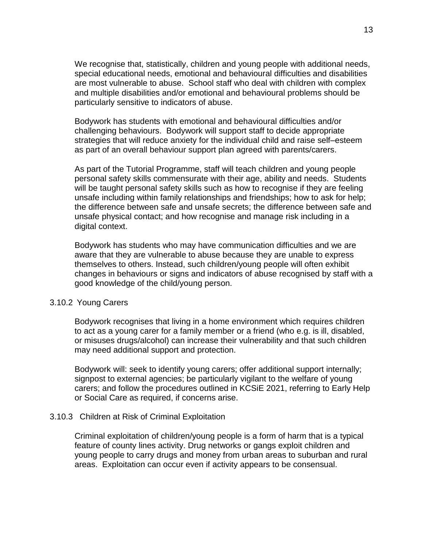We recognise that, statistically, children and young people with additional needs, special educational needs, emotional and behavioural difficulties and disabilities are most vulnerable to abuse. School staff who deal with children with complex and multiple disabilities and/or emotional and behavioural problems should be particularly sensitive to indicators of abuse.

Bodywork has students with emotional and behavioural difficulties and/or challenging behaviours. Bodywork will support staff to decide appropriate strategies that will reduce anxiety for the individual child and raise self–esteem as part of an overall behaviour support plan agreed with parents/carers.

As part of the Tutorial Programme, staff will teach children and young people personal safety skills commensurate with their age, ability and needs. Students will be taught personal safety skills such as how to recognise if they are feeling unsafe including within family relationships and friendships; how to ask for help; the difference between safe and unsafe secrets; the difference between safe and unsafe physical contact; and how recognise and manage risk including in a digital context.

Bodywork has students who may have communication difficulties and we are aware that they are vulnerable to abuse because they are unable to express themselves to others. Instead, such children/young people will often exhibit changes in behaviours or signs and indicators of abuse recognised by staff with a good knowledge of the child/young person.

#### 3.10.2 Young Carers

Bodywork recognises that living in a home environment which requires children to act as a young carer for a family member or a friend (who e.g. is ill, disabled, or misuses drugs/alcohol) can increase their vulnerability and that such children may need additional support and protection.

Bodywork will: seek to identify young carers; offer additional support internally; signpost to external agencies; be particularly vigilant to the welfare of young carers; and follow the procedures outlined in KCSiE 2021, referring to Early Help or Social Care as required, if concerns arise.

#### 3.10.3Children at Risk of Criminal Exploitation

Criminal exploitation of children/young people is a form of harm that is a typical feature of county lines activity. Drug networks or gangs exploit children and young people to carry drugs and money from urban areas to suburban and rural areas. Exploitation can occur even if activity appears to be consensual.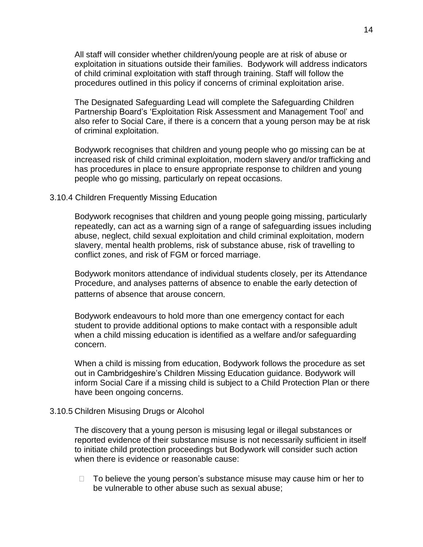All staff will consider whether children/young people are at risk of abuse or exploitation in situations outside their families. Bodywork will address indicators of child criminal exploitation with staff through training. Staff will follow the procedures outlined in this policy if concerns of criminal exploitation arise.

The Designated Safeguarding Lead will complete the Safeguarding Children Partnership Board's 'Exploitation Risk Assessment and [Management](http://www.safeguardingcambspeterborough.org.uk/wp-content/uploads/2018/05/Exploitation-CSECCE-Risk-Assessment-Tool.docx) Tool' and also refer to Social Care, if there is a concern that a young person may be at risk of criminal exploitation.

Bodywork recognises that children and young people who go missing can be at increased risk of child criminal exploitation, modern slavery and/or trafficking and has procedures in place to ensure appropriate response to children and young people who go missing, particularly on repeat occasions.

#### 3.10.4 Children Frequently Missing Education

Bodywork recognises that children and young people going missing, particularly repeatedly, can act as a warning sign of a range of safeguarding issues including abuse, neglect, child sexual exploitation and child criminal exploitation, modern slavery, mental health problems, risk of substance abuse, risk of travelling to conflict zones, and risk of FGM or forced marriage.

Bodywork monitors attendance of individual students closely, per its Attendance Procedure, and analyses patterns of absence to enable the early detection of patterns of absence that arouse concern.

Bodywork endeavours to hold more than one emergency contact for each student to provide additional options to make contact with a responsible adult when a child missing education is identified as a welfare and/or safeguarding concern.

When a child is missing from education, Bodywork follows the procedure as set out in Cambridgeshire's Children Missing Education guidance. Bodywork will inform Social Care if a missing child is subject to a Child Protection Plan or there have been ongoing concerns.

#### 3.10.5 Children Misusing Drugs or Alcohol

The discovery that a young person is misusing legal or illegal substances or reported evidence of their substance misuse is not necessarily sufficient in itself to initiate child protection proceedings but Bodywork will consider such action when there is evidence or reasonable cause:

 $\Box$  To believe the young person's substance misuse may cause him or her to be vulnerable to other abuse such as sexual abuse;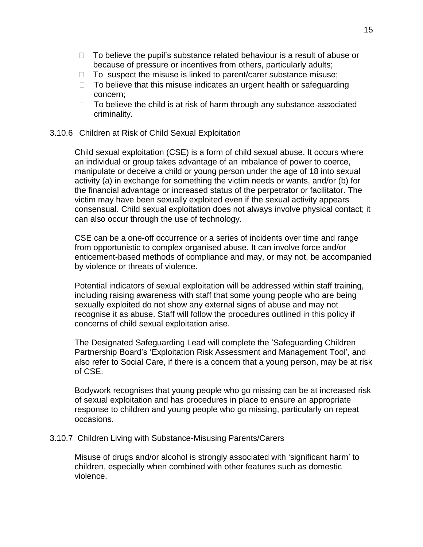- $\Box$  To believe the pupil's substance related behaviour is a result of abuse or because of pressure or incentives from others, particularly adults;
- $\Box$  To suspect the misuse is linked to parent/carer substance misuse;
- $\Box$  To believe that this misuse indicates an urgent health or safeguarding concern;
- $\Box$  To believe the child is at risk of harm through any substance-associated criminality.

#### 3.10.6 Children at Risk of Child Sexual Exploitation

Child sexual exploitation (CSE) is a form of child sexual abuse. It occurs where an individual or group takes advantage of an imbalance of power to coerce, manipulate or deceive a child or young person under the age of 18 into sexual activity (a) in exchange for something the victim needs or wants, and/or (b) for the financial advantage or increased status of the perpetrator or facilitator. The victim may have been sexually exploited even if the sexual activity appears consensual. Child sexual exploitation does not always involve physical contact; it can also occur through the use of technology.

CSE can be a one-off occurrence or a series of incidents over time and range from opportunistic to complex organised abuse. It can involve force and/or enticement-based methods of compliance and may, or may not, be accompanied by violence or threats of violence.

Potential indicators of sexual exploitation will be addressed within staff training, including raising awareness with staff that some young people who are being sexually exploited do not show any external signs of abuse and may not recognise it as abuse. Staff will follow the procedures outlined in this policy if concerns of child sexual exploitation arise.

The Designated Safeguarding Lead will complete the 'Safeguarding Children Partnership Board's 'Exploitation Risk Assessment and [Management](http://www.safeguardingcambspeterborough.org.uk/wp-content/uploads/2018/05/Exploitation-CSECCE-Risk-Assessment-Tool.docx) Tool', and also refer to Social Care, if there is a concern that a young person, may be at risk of CSE.

Bodywork recognises that young people who go missing can be at increased risk of sexual exploitation and has procedures in place to ensure an appropriate response to children and young people who go missing, particularly on repeat occasions.

#### 3.10.7 Children Living with Substance-Misusing Parents/Carers

Misuse of drugs and/or alcohol is strongly associated with 'significant harm' to children, especially when combined with other features such as domestic violence.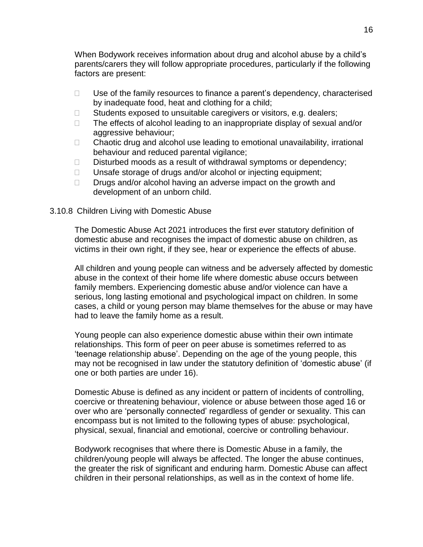When Bodywork receives information about drug and alcohol abuse by a child's parents/carers they will follow appropriate procedures, particularly if the following factors are present:

- $\Box$  Use of the family resources to finance a parent's dependency, characterised by inadequate food, heat and clothing for a child;
- $\Box$  Students exposed to unsuitable caregivers or visitors, e.g. dealers;
- $\Box$  The effects of alcohol leading to an inappropriate display of sexual and/or aggressive behaviour;
- $\Box$  Chaotic drug and alcohol use leading to emotional unavailability, irrational behaviour and reduced parental vigilance;
- $\Box$  Disturbed moods as a result of withdrawal symptoms or dependency;
- $\Box$  Unsafe storage of drugs and/or alcohol or injecting equipment;
- $\Box$  Drugs and/or alcohol having an adverse impact on the growth and development of an unborn child.

#### 3.10.8 Children Living with Domestic Abuse

The Domestic Abuse Act 2021 introduces the first ever statutory definition of domestic abuse and recognises the impact of domestic abuse on children, as victims in their own right, if they see, hear or experience the effects of abuse.

All children and young people can witness and be adversely affected by domestic abuse in the context of their home life where domestic abuse occurs between family members. Experiencing domestic abuse and/or violence can have a serious, long lasting emotional and psychological impact on children. In some cases, a child or young person may blame themselves for the abuse or may have had to leave the family home as a result.

Young people can also experience domestic abuse within their own intimate relationships. This form of peer on peer abuse is sometimes referred to as 'teenage relationship abuse'. Depending on the age of the young people, this may not be recognised in law under the statutory definition of 'domestic abuse' (if one or both parties are under 16).

Domestic Abuse is defined as any incident or pattern of incidents of controlling, coercive or threatening behaviour, violence or abuse between those aged 16 or over who are 'personally connected' regardless of gender or sexuality. This can encompass but is not limited to the following types of abuse: psychological, physical, sexual, financial and emotional, coercive or controlling behaviour.

Bodywork recognises that where there is Domestic Abuse in a family, the children/young people will always be affected. The longer the abuse continues, the greater the risk of significant and enduring harm. Domestic Abuse can affect children in their personal relationships, as well as in the context of home life.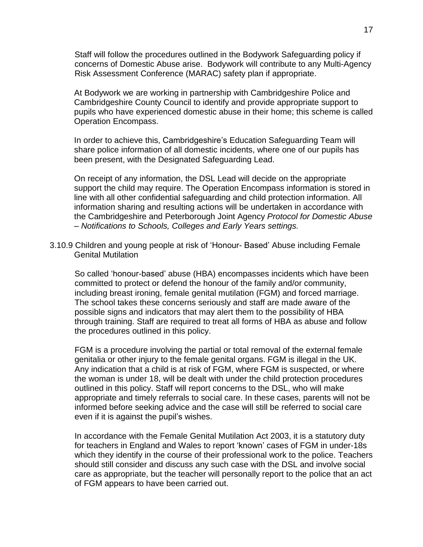Staff will follow the procedures outlined in the Bodywork Safeguarding policy if concerns of Domestic Abuse arise. Bodywork will contribute to any Multi-Agency Risk Assessment Conference (MARAC) safety plan if appropriate.

At Bodywork we are working in partnership with Cambridgeshire Police and Cambridgeshire County Council to identify and provide appropriate support to pupils who have experienced domestic abuse in their home; this scheme is called Operation Encompass.

In order to achieve this, Cambridgeshire's Education Safeguarding Team will share police information of all domestic incidents, where one of our pupils has been present, with the Designated Safeguarding Lead.

On receipt of any information, the DSL Lead will decide on the appropriate support the child may require. The Operation Encompass information is stored in line with all other confidential safeguarding and child protection information. All information sharing and resulting actions will be undertaken in accordance with the Cambridgeshire and Peterborough Joint Agency *Protocol for Domestic Abuse – Notifications to Schools, Colleges and Early Years settings.*

3.10.9 Children and young people at risk of 'Honour- Based' Abuse including Female Genital Mutilation

So called 'honour-based' abuse (HBA) encompasses incidents which have been committed to protect or defend the honour of the family and/or community, including breast ironing, female genital mutilation (FGM) and forced marriage. The school takes these concerns seriously and staff are made aware of the possible signs and indicators that may alert them to the possibility of HBA through training. Staff are required to treat all forms of HBA as abuse and follow the procedures outlined in this policy.

FGM is a procedure involving the partial or total removal of the external female genitalia or other injury to the female genital organs. FGM is illegal in the UK. Any indication that a child is at risk of FGM, where FGM is suspected, or where the woman is under 18, will be dealt with under the child protection procedures outlined in this policy. Staff will report concerns to the DSL, who will make appropriate and timely referrals to social care. In these cases, parents will not be informed before seeking advice and the case will still be referred to social care even if it is against the pupil's wishes.

In accordance with the Female Genital Mutilation Act 2003, it is a statutory duty for teachers in England and Wales to report 'known' cases of FGM in under-18s which they identify in the course of their professional work to the police. Teachers should still consider and discuss any such case with the DSL and involve social care as appropriate, but the teacher will personally report to the police that an act of FGM appears to have been carried out.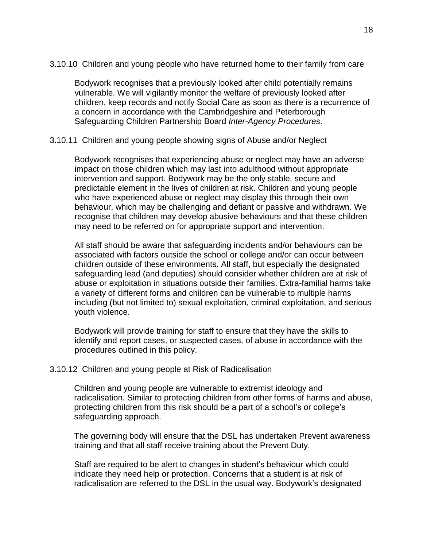3.10.10 Children and young people who have returned home to their family from care

Bodywork recognises that a previously looked after child potentially remains vulnerable. We will vigilantly monitor the welfare of previously looked after children, keep records and notify Social Care as soon as there is a recurrence of a concern in accordance with the Cambridgeshire and Peterborough Safeguarding Children Partnership Board *Inter-Agency Procedures*.

#### 3.10.11 Children and young people showing signs of Abuse and/or Neglect

Bodywork recognises that experiencing abuse or neglect may have an adverse impact on those children which may last into adulthood without appropriate intervention and support. Bodywork may be the only stable, secure and predictable element in the lives of children at risk. Children and young people who have experienced abuse or neglect may display this through their own behaviour, which may be challenging and defiant or passive and withdrawn. We recognise that children may develop abusive behaviours and that these children may need to be referred on for appropriate support and intervention.

All staff should be aware that safeguarding incidents and/or behaviours can be associated with factors outside the school or college and/or can occur between children outside of these environments. All staff, but especially the designated safeguarding lead (and deputies) should consider whether children are at risk of abuse or exploitation in situations outside their families. Extra-familial harms take a variety of different forms and children can be vulnerable to multiple harms including (but not limited to) sexual exploitation, criminal exploitation, and serious youth violence.

Bodywork will provide training for staff to ensure that they have the skills to identify and report cases, or suspected cases, of abuse in accordance with the procedures outlined in this policy.

#### 3.10.12Children and young people at Risk of Radicalisation

Children and young people are vulnerable to extremist ideology and radicalisation. Similar to protecting children from other forms of harms and abuse, protecting children from this risk should be a part of a school's or college's safeguarding approach.

The governing body will ensure that the DSL has undertaken Prevent awareness training and that all staff receive training about the Prevent Duty.

Staff are required to be alert to changes in student's behaviour which could indicate they need help or protection. Concerns that a student is at risk of radicalisation are referred to the DSL in the usual way. Bodywork's designated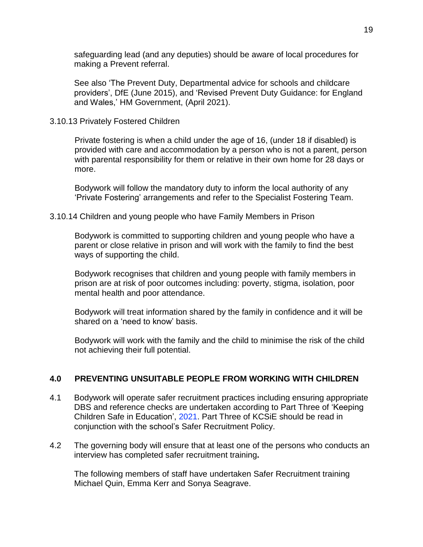safeguarding lead (and any deputies) should be aware of local procedures for making a Prevent referral.

See also 'The Prevent Duty, Departmental advice for schools and childcare providers', DfE (June 2015), and 'Revised Prevent Duty Guidance: for England and Wales,' HM Government, (April 2021).

#### 3.10.13 Privately Fostered Children

Private fostering is when a child under the age of 16, (under 18 if disabled) is provided with care and accommodation by a person who is not a parent, person with parental responsibility for them or relative in their own home for 28 days or more.

Bodywork will follow the mandatory duty to inform the local authority of any 'Private Fostering' arrangements and refer to the Specialist Fostering Team.

#### 3.10.14 Children and young people who have Family Members in Prison

Bodywork is committed to supporting children and young people who have a parent or close relative in prison and will work with the family to find the best ways of supporting the child.

Bodywork recognises that children and young people with family members in prison are at risk of poor outcomes including: poverty, stigma, isolation, poor mental health and poor attendance.

Bodywork will treat information shared by the family in confidence and it will be shared on a 'need to know' basis.

Bodywork will work with the family and the child to minimise the risk of the child not achieving their full potential.

#### **4.0 PREVENTING UNSUITABLE PEOPLE FROM WORKING WITH CHILDREN**

- 4.1 Bodywork will operate safer recruitment practices including ensuring appropriate DBS and reference checks are undertaken according to Part Three of 'Keeping Children Safe in Education', 2021. Part Three of KCSiE should be read in conjunction with the school's Safer Recruitment Policy.
- 4.2 The governing body will ensure that at least one of the persons who conducts an interview has completed safer recruitment training**.**

The following members of staff have undertaken Safer Recruitment training Michael Quin, Emma Kerr and Sonya Seagrave.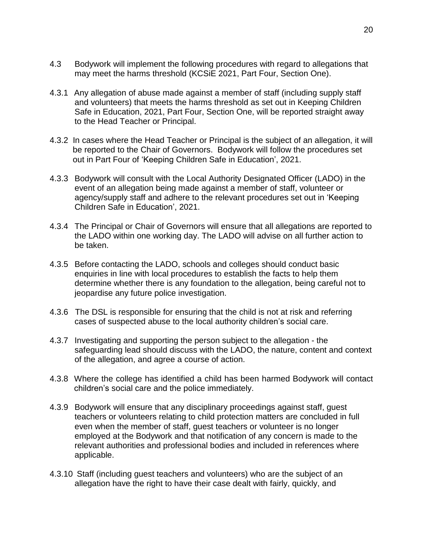- 4.3 Bodywork will implement the following procedures with regard to allegations that may meet the harms threshold (KCSiE 2021, Part Four, Section One).
- 4.3.1 Any allegation of abuse made against a member of staff (including supply staff and volunteers) that meets the harms threshold as set out in Keeping Children Safe in Education, 2021, Part Four, Section One, will be reported straight away to the Head Teacher or Principal.
- 4.3.2 In cases where the Head Teacher or Principal is the subject of an allegation, it will be reported to the Chair of Governors. Bodywork will follow the procedures set out in Part Four of 'Keeping Children Safe in Education', 2021.
- 4.3.3 Bodywork will consult with the Local Authority Designated Officer (LADO) in the event of an allegation being made against a member of staff, volunteer or agency/supply staff and adhere to the relevant procedures set out in 'Keeping Children Safe in Education', 2021.
- 4.3.4 The Principal or Chair of Governors will ensure that all allegations are reported to the LADO within one working day. The LADO will advise on all further action to be taken.
- 4.3.5 Before contacting the LADO, schools and colleges should conduct basic enquiries in line with local procedures to establish the facts to help them determine whether there is any foundation to the allegation, being careful not to jeopardise any future police investigation.
- 4.3.6 The DSL is responsible for ensuring that the child is not at risk and referring cases of suspected abuse to the local authority children's social care.
- 4.3.7 Investigating and supporting the person subject to the allegation the safeguarding lead should discuss with the LADO, the nature, content and context of the allegation, and agree a course of action.
- 4.3.8 Where the college has identified a child has been harmed Bodywork will contact children's social care and the police immediately.
- 4.3.9 Bodywork will ensure that any disciplinary proceedings against staff, guest teachers or volunteers relating to child protection matters are concluded in full even when the member of staff, guest teachers or volunteer is no longer employed at the Bodywork and that notification of any concern is made to the relevant authorities and professional bodies and included in references where applicable.
- 4.3.10 Staff (including guest teachers and volunteers) who are the subject of an allegation have the right to have their case dealt with fairly, quickly, and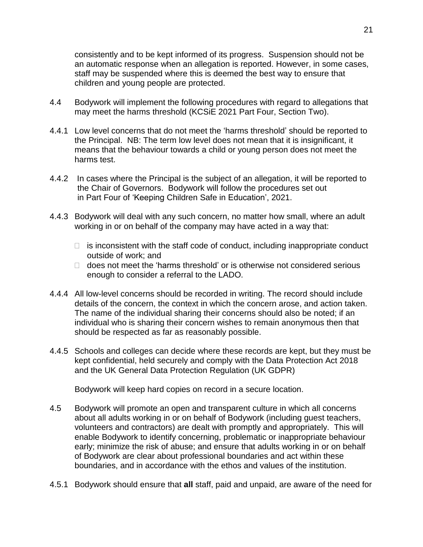consistently and to be kept informed of its progress. Suspension should not be an automatic response when an allegation is reported. However, in some cases, staff may be suspended where this is deemed the best way to ensure that children and young people are protected.

- 4.4 Bodywork will implement the following procedures with regard to allegations that may meet the harms threshold (KCSiE 2021 Part Four, Section Two).
- 4.4.1 Low level concerns that do not meet the 'harms threshold' should be reported to the Principal. NB: The term low level does not mean that it is insignificant, it means that the behaviour towards a child or young person does not meet the harms test.
- 4.4.2 In cases where the Principal is the subject of an allegation, it will be reported to the Chair of Governors. Bodywork will follow the procedures set out in Part Four of 'Keeping Children Safe in Education', 2021.
- 4.4.3 Bodywork will deal with any such concern, no matter how small, where an adult working in or on behalf of the company may have acted in a way that:
	- $\Box$  is inconsistent with the staff code of conduct, including inappropriate conduct outside of work; and
	- $\Box$  does not meet the 'harms threshold' or is otherwise not considered serious enough to consider a referral to the LADO.
- 4.4.4 All low-level concerns should be recorded in writing. The record should include details of the concern, the context in which the concern arose, and action taken. The name of the individual sharing their concerns should also be noted; if an individual who is sharing their concern wishes to remain anonymous then that should be respected as far as reasonably possible.
- 4.4.5 Schools and colleges can decide where these records are kept, but they must be kept confidential, held securely and comply with the Data Protection Act 2018 and the UK General Data Protection Regulation (UK GDPR)

Bodywork will keep hard copies on record in a secure location.

- 4.5 Bodywork will promote an open and transparent culture in which all concerns about all adults working in or on behalf of Bodywork (including guest teachers, volunteers and contractors) are dealt with promptly and appropriately. This will enable Bodywork to identify concerning, problematic or inappropriate behaviour early; minimize the risk of abuse; and ensure that adults working in or on behalf of Bodywork are clear about professional boundaries and act within these boundaries, and in accordance with the ethos and values of the institution.
- 4.5.1 Bodywork should ensure that **all** staff, paid and unpaid, are aware of the need for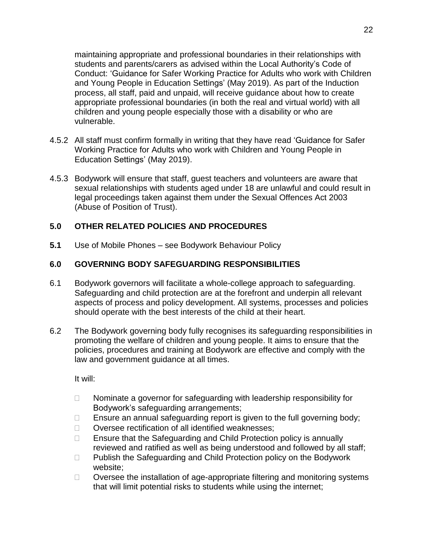maintaining appropriate and professional boundaries in their relationships with students and parents/carers as advised within the Local Authority's Code of Conduct: 'Guidance for Safer Working Practice for Adults who work with Children and Young People in Education Settings' (May 2019). As part of the Induction process, all staff, paid and unpaid, will receive guidance about how to create appropriate professional boundaries (in both the real and virtual world) with all children and young people especially those with a disability or who are vulnerable.

- 4.5.2 All staff must confirm formally in writing that they have read 'Guidance for Safer Working Practice for Adults who work with Children and Young People in Education Settings' (May 2019).
- 4.5.3 Bodywork will ensure that staff, guest teachers and volunteers are aware that sexual relationships with students aged under 18 are unlawful and could result in legal proceedings taken against them under the Sexual Offences Act 2003 (Abuse of Position of Trust).

# **5.0 OTHER RELATED POLICIES AND PROCEDURES**

**5.1** Use of Mobile Phones – see Bodywork Behaviour Policy

# **6.0 GOVERNING BODY SAFEGUARDING RESPONSIBILITIES**

- 6.1 Bodywork governors will facilitate a whole-college approach to safeguarding. Safeguarding and child protection are at the forefront and underpin all relevant aspects of process and policy development. All systems, processes and policies should operate with the best interests of the child at their heart.
- 6.2 The Bodywork governing body fully recognises its safeguarding responsibilities in promoting the welfare of children and young people. It aims to ensure that the policies, procedures and training at Bodywork are effective and comply with the law and government guidance at all times.

It will:

- $\Box$  Nominate a governor for safeguarding with leadership responsibility for Bodywork's safeguarding arrangements;
- $\Box$  Ensure an annual safeguarding report is given to the full governing body;
- □ Oversee rectification of all identified weaknesses;
- $\Box$  Ensure that the Safeguarding and Child Protection policy is annually reviewed and ratified as well as being understood and followed by all staff;
- $\Box$  Publish the Safeguarding and Child Protection policy on the Bodywork website;
- $\Box$  Oversee the installation of age-appropriate filtering and monitoring systems that will limit potential risks to students while using the internet;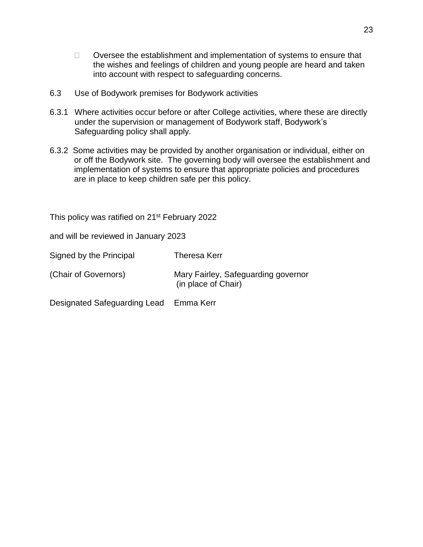- $\Box$  Oversee the establishment and implementation of systems to ensure that the wishes and feelings of children and young people are heard and taken into account with respect to safeguarding concerns.
- 6.3 Use of Bodywork premises for Bodywork activities
- 6.3.1 Where activities occur before or after College activities, where these are directly under the supervision or management of Bodywork staff, Bodywork's Safeguarding policy shall apply.
- 6.3.2 Some activities may be provided by another organisation or individual, either on or off the Bodywork site. The governing body will oversee the establishment and implementation of systems to ensure that appropriate policies and procedures are in place to keep children safe per this policy.

This policy was ratified on 21<sup>st</sup> February 2022

and will be reviewed in January 2023

| Signed by the Principal | Theresa Kerr                                               |
|-------------------------|------------------------------------------------------------|
| (Chair of Governors)    | Mary Fairley, Safeguarding governor<br>(in place of Chair) |
|                         |                                                            |

Designated Safeguarding Lead Emma Kerr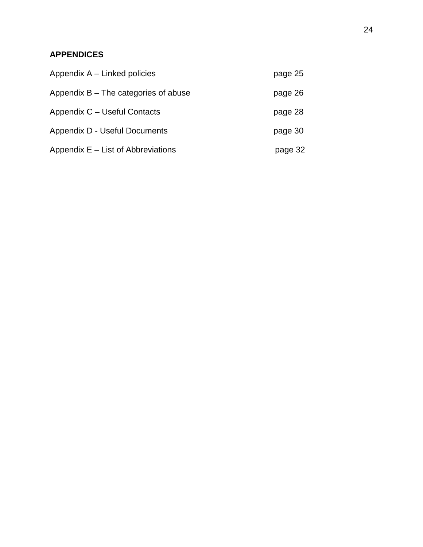# **APPENDICES**

| Appendix A – Linked policies           | page 25 |
|----------------------------------------|---------|
| Appendix $B$ – The categories of abuse | page 26 |
| Appendix C - Useful Contacts           | page 28 |
| Appendix D - Useful Documents          | page 30 |
| Appendix $E -$ List of Abbreviations   | page 32 |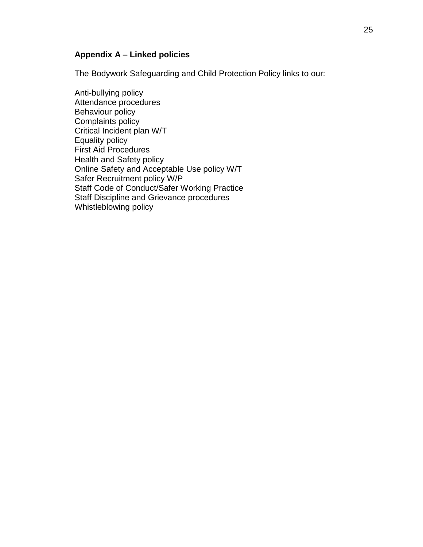# **Appendix A – Linked policies**

The Bodywork Safeguarding and Child Protection Policy links to our:

Anti-bullying policy Attendance procedures Behaviour policy Complaints policy Critical Incident plan W/T Equality policy First Aid Procedures Health and Safety policy Online Safety and Acceptable Use policy W/T Safer Recruitment policy W/P Staff Code of Conduct/Safer Working Practice Staff Discipline and Grievance procedures Whistleblowing policy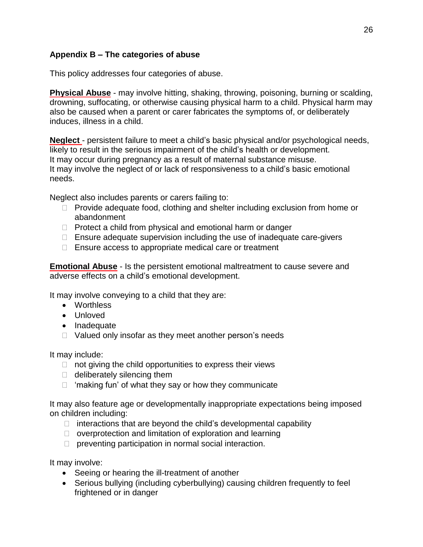# **Appendix B – The categories of abuse**

This policy addresses four categories of abuse.

**Physical Abuse** - may involve hitting, shaking, throwing, poisoning, burning or scalding, drowning, suffocating, or otherwise causing physical harm to a child. Physical harm may also be caused when a parent or carer fabricates the symptoms of, or deliberately induces, illness in a child.

**Neglect** - persistent failure to meet a child's basic physical and/or psychological needs, likely to result in the serious impairment of the child's health or development. It may occur during pregnancy as a result of maternal substance misuse. It may involve the neglect of or lack of responsiveness to a child's basic emotional needs.

Neglect also includes parents or carers failing to:

- $\Box$  Provide adequate food, clothing and shelter including exclusion from home or abandonment
- $\Box$  Protect a child from physical and emotional harm or danger
- □ Ensure adequate supervision including the use of inadequate care-givers
- $\Box$  Ensure access to appropriate medical care or treatment

**Emotional Abuse** - Is the persistent emotional maltreatment to cause severe and adverse effects on a child's emotional development.

It may involve conveying to a child that they are:

- Worthless
- Unloved
- Inadequate
- $\Box$  Valued only insofar as they meet another person's needs

It may include:

- $\Box$  not giving the child opportunities to express their views
- $\Box$  deliberately silencing them
- $\Box$  'making fun' of what they say or how they communicate

It may also feature age or developmentally inappropriate expectations being imposed on children including:

- $\Box$  interactions that are beyond the child's developmental capability
- $\Box$  overprotection and limitation of exploration and learning
- $\Box$  preventing participation in normal social interaction.

It may involve:

- Seeing or hearing the ill-treatment of another
- Serious bullying (including cyberbullying) causing children frequently to feel frightened or in danger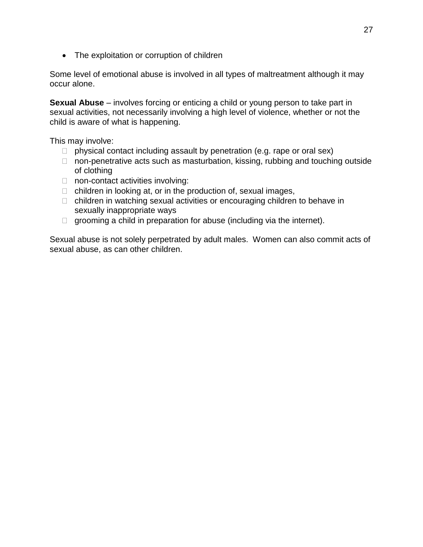• The exploitation or corruption of children

Some level of emotional abuse is involved in all types of maltreatment although it may occur alone.

**Sexual Abuse** – involves forcing or enticing a child or young person to take part in sexual activities, not necessarily involving a high level of violence, whether or not the child is aware of what is happening.

This may involve:

- $\Box$  physical contact including assault by penetration (e.g. rape or oral sex)
- $\Box$  non-penetrative acts such as masturbation, kissing, rubbing and touching outside of clothing
- □ non-contact activities involving:
- $\Box$  children in looking at, or in the production of, sexual images,
- $\Box$  children in watching sexual activities or encouraging children to behave in sexually inappropriate ways
- $\Box$  grooming a child in preparation for abuse (including via the internet).

Sexual abuse is not solely perpetrated by adult males. Women can also commit acts of sexual abuse, as can other children.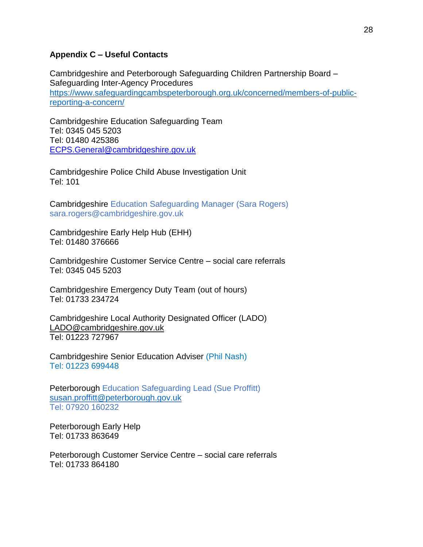#### **Appendix C – Useful Contacts**

Cambridgeshire and Peterborough Safeguarding Children Partnership Board – Safeguarding Inter-Agency Procedures [https://www.safeguardingcambspeterborough.org.uk/concerned/members-of-public](https://www.safeguardingcambspeterborough.org.uk/concerned/members-of-public-reporting-a-concern/)[reporting-a-concern/](https://www.safeguardingcambspeterborough.org.uk/concerned/members-of-public-reporting-a-concern/)

Cambridgeshire Education Safeguarding Team Tel: 0345 045 5203 Tel: 01480 425386 [ECPS.General@cambridgeshire.gov.uk](mailto:ECPS.General@cambridgeshire.gov.uk)

Cambridgeshire Police Child Abuse Investigation Unit Tel: 101

Cambridgeshire Education Safeguarding Manager (Sara Rogers) sara.rogers@cambridgeshire.gov.uk

Cambridgeshire Early Help Hub (EHH) Tel: 01480 376666

Cambridgeshire Customer Service Centre – social care referrals Tel: 0345 045 5203

Cambridgeshire Emergency Duty Team (out of hours) Tel: 01733 234724

Cambridgeshire Local Authority Designated Officer (LADO) [LADO@cambridgeshire.gov.uk](mailto:LADO@cambridgeshire.gov.uk) Tel: 01223 727967

Cambridgeshire Senior Education Adviser (Phil Nash) Tel: 01223 699448

Peterborough Education Safeguarding Lead (Sue Proffitt) [susan.proffitt@peterborough.gov.uk](mailto:susan.proffitt@peterborough.gov.uk)  Tel: 07920 160232

Peterborough Early Help Tel: 01733 863649

Peterborough Customer Service Centre – social care referrals Tel: 01733 864180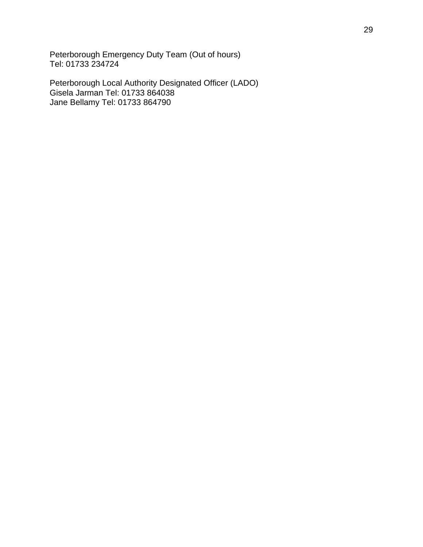Peterborough Emergency Duty Team (Out of hours) Tel: 01733 234724

Peterborough Local Authority Designated Officer (LADO) Gisela Jarman Tel: 01733 864038 Jane Bellamy Tel: 01733 864790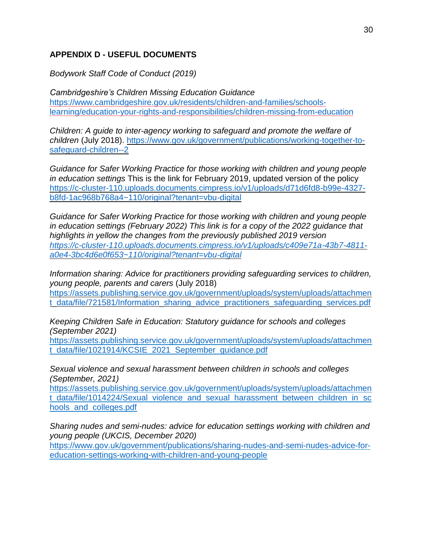# **APPENDIX D - USEFUL DOCUMENTS**

*Bodywork Staff Code of Conduct (2019)*

*Cambridgeshire's Children Missing Education Guidance* [https://www.cambridgeshire.gov.uk/residents/children-and-families/schools](https://www.cambridgeshire.gov.uk/residents/children-and-families/schools-learning/education-your-rights-and-responsibilities/children-missing-from-education)[learning/education-your-rights-and-responsibilities/children-missing-from-education](https://www.cambridgeshire.gov.uk/residents/children-and-families/schools-learning/education-your-rights-and-responsibilities/children-missing-from-education)

*Children: A guide to inter-agency working to safeguard and promote the welfare of children* (July 2018). [https://www.gov.uk/government/publications/working-together-to](https://www.gov.uk/government/publications/working-together-to-safeguard-children--2)[safeguard-children--2](https://www.gov.uk/government/publications/working-together-to-safeguard-children--2)

*Guidance for Safer Working Practice for those working with children and young people in education settings* This is the link for February 2019, updated version of the policy [https://c-cluster-110.uploads.documents.cimpress.io/v1/uploads/d71d6fd8-b99e-4327](https://c-cluster-110.uploads.documents.cimpress.io/v1/uploads/d71d6fd8-b99e-4327-b8fd-1ac968b768a4~110/original?tenant=vbu-digital) [b8fd-1ac968b768a4~110/original?tenant=vbu-digital](https://c-cluster-110.uploads.documents.cimpress.io/v1/uploads/d71d6fd8-b99e-4327-b8fd-1ac968b768a4~110/original?tenant=vbu-digital)

*Guidance for Safer Working Practice for those working with children and young people in education settings (February 2022) This link is for a copy of the 2022 guidance that highlights in yellow the changes from the previously published 2019 version [https://c-cluster-110.uploads.documents.cimpress.io/v1/uploads/c409e71a-43b7-4811](https://c-cluster-110.uploads.documents.cimpress.io/v1/uploads/c409e71a-43b7-4811-a0e4-3bc4d6e0f653~110/original?tenant=vbu-digital) [a0e4-3bc4d6e0f653~110/original?tenant=vbu-digital](https://c-cluster-110.uploads.documents.cimpress.io/v1/uploads/c409e71a-43b7-4811-a0e4-3bc4d6e0f653~110/original?tenant=vbu-digital)*

*Information sharing: Advice for practitioners providing safeguarding services to children, young people, parents and carers* (July 2018) [https://assets.publishing.service.gov.uk/government/uploads/system/uploads/attachmen](https://assets.publishing.service.gov.uk/government/uploads/system/uploads/attachment_data/file/721581/Information_sharing_advice_practitioners_safeguarding_services.pdf) t data/file/721581/Information sharing advice practitioners safeguarding services.pdf

*Keeping Children Safe in Education: Statutory guidance for schools and colleges (September 2021)*

[https://assets.publishing.service.gov.uk/government/uploads/system/uploads/attachmen](https://assets.publishing.service.gov.uk/government/uploads/system/uploads/attachment_data/file/1021914/KCSIE_2021_September_guidance.pdf) [t\\_data/file/1021914/KCSIE\\_2021\\_September\\_guidance.pdf](https://assets.publishing.service.gov.uk/government/uploads/system/uploads/attachment_data/file/1021914/KCSIE_2021_September_guidance.pdf)

*Sexual violence and sexual harassment between children in schools and colleges (September, 2021)*

[https://assets.publishing.service.gov.uk/government/uploads/system/uploads/attachmen](https://assets.publishing.service.gov.uk/government/uploads/system/uploads/attachment_data/file/1014224/Sexual_violence_and_sexual_harassment_between_children_in_schools_and_colleges.pdf) t data/file/1014224/Sexual\_violence\_and\_sexual\_harassment\_between\_children\_in\_sc [hools\\_and\\_colleges.pdf](https://assets.publishing.service.gov.uk/government/uploads/system/uploads/attachment_data/file/1014224/Sexual_violence_and_sexual_harassment_between_children_in_schools_and_colleges.pdf)

*Sharing nudes and semi-nudes: advice for education settings working with children and young people (UKCIS, December 2020)*

[https://www.gov.uk/government/publications/sharing-nudes-and-semi-nudes-advice-for](https://www.gov.uk/government/publications/sharing-nudes-and-semi-nudes-advice-for-education-settings-working-with-children-and-young-people)[education-settings-working-with-children-and-young-people](https://www.gov.uk/government/publications/sharing-nudes-and-semi-nudes-advice-for-education-settings-working-with-children-and-young-people)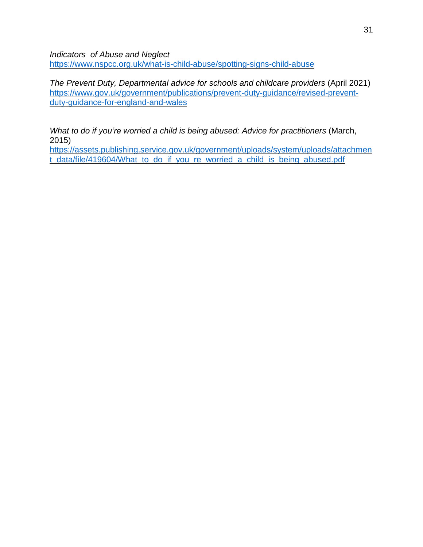*Indicators of Abuse and Neglect* <https://www.nspcc.org.uk/what-is-child-abuse/spotting-signs-child-abuse>

*The Prevent Duty, Departmental advice for schools and childcare providers* (April 2021) [https://www.gov.uk/government/publications/prevent-duty-guidance/revised-prevent](https://www.gov.uk/government/publications/prevent-duty-guidance/revised-prevent-duty-guidance-for-england-and-wales)[duty-guidance-for-england-and-wales](https://www.gov.uk/government/publications/prevent-duty-guidance/revised-prevent-duty-guidance-for-england-and-wales)

*What to do if you're worried a child is being abused: Advice for practitioners* (March, 2015)

[https://assets.publishing.service.gov.uk/government/uploads/system/uploads/attachmen](https://assets.publishing.service.gov.uk/government/uploads/system/uploads/attachment_data/file/419604/What_to_do_if_you_re_worried_a_child_is_being_abused.pdf) [t\\_data/file/419604/What\\_to\\_do\\_if\\_you\\_re\\_worried\\_a\\_child\\_is\\_being\\_abused.pdf](https://assets.publishing.service.gov.uk/government/uploads/system/uploads/attachment_data/file/419604/What_to_do_if_you_re_worried_a_child_is_being_abused.pdf)